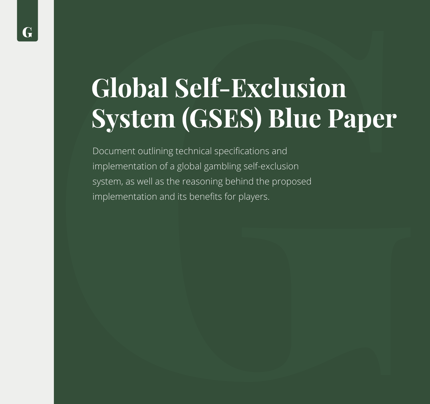# **Global Self-Exclusion System (GSES) Blue Paper**

Document outlining technical specifications and implementation of a global gambling self-exclusion system, as well as the reasoning behind the proposed implementation and its benefits for players.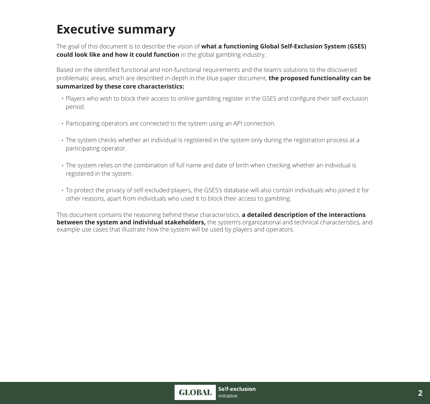# **Executive summary**

The goal of this document is to describe the vision of **what a functioning Global Self-Exclusion System (GSES) could look like and how it could function** in the global gambling industry.

Based on the identified functional and non-functional requirements and the team's solutions to the discovered problematic areas, which are described in-depth in the blue paper document, **the proposed functionality can be summarized by these core characteristics:** 

- . Players who wish to block their access to online gambling register in the GSES and configure their self-exclusion period.
- Participating operators are connected to the system using an API connection. **.**
- Ine system checks whether an individual is registered in the system only during the registration process at a participating operator.
- Ine system relies on the combination of full name and date of birth when checking whether an individual is registered in the system.
- To protect the privacy of self-excluded players, the GSES's database will also contain individuals who joined it for **.** other reasons, apart from individuals who used it to block their access to gambling.

This document contains the reasoning behind these characteristics, **a detailed description of the interactions between the system and individual stakeholders,** the system's organizational and technical characteristics, and example use cases that illustrate how the system will be used by players and operators.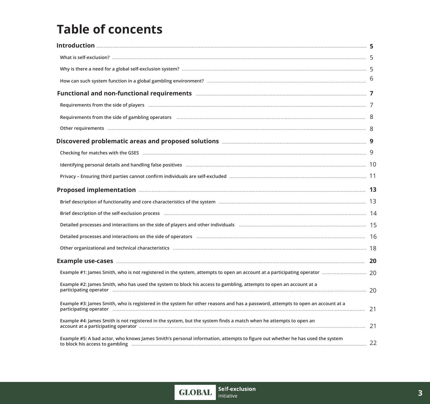# **Table of concents**

| Requirements from the side of players manufactured and content and content and all all all all all all all all                                                                                                                                                                                                                                      |  |
|-----------------------------------------------------------------------------------------------------------------------------------------------------------------------------------------------------------------------------------------------------------------------------------------------------------------------------------------------------|--|
|                                                                                                                                                                                                                                                                                                                                                     |  |
|                                                                                                                                                                                                                                                                                                                                                     |  |
|                                                                                                                                                                                                                                                                                                                                                     |  |
| Checking for matches with the GSES manufactured and content and content and content of the SEES matches with the GSES manufactured and content of the CSES manufactured and content of the CSES manufactured and content of th                                                                                                                      |  |
|                                                                                                                                                                                                                                                                                                                                                     |  |
|                                                                                                                                                                                                                                                                                                                                                     |  |
|                                                                                                                                                                                                                                                                                                                                                     |  |
|                                                                                                                                                                                                                                                                                                                                                     |  |
| Brief description of the self-exclusion process manufactured and content and content and the self-exclusion process manufactured and content and the self-exclusion process manufactured and content and content and the self-                                                                                                                      |  |
|                                                                                                                                                                                                                                                                                                                                                     |  |
|                                                                                                                                                                                                                                                                                                                                                     |  |
|                                                                                                                                                                                                                                                                                                                                                     |  |
|                                                                                                                                                                                                                                                                                                                                                     |  |
|                                                                                                                                                                                                                                                                                                                                                     |  |
| Example #2: James Smith, who has used the system to block his access to gambling, attempts to open an account at a                                                                                                                                                                                                                                  |  |
| Example #3: James Smith, who is registered in the system for other reasons and has a password, attempts to open an account at a                                                                                                                                                                                                                     |  |
| Example #4: James Smith is not registered in the system, but the system finds a match when he attempts to open an<br>account at a participating operator manufacture and continuum contraction and contract and contract a participating operator manufacture and contract and contract and contract and contract and contract and contract and con |  |
| Example #5: A bad actor, who knows James Smith's personal information, attempts to figure out whether he has used the system                                                                                                                                                                                                                        |  |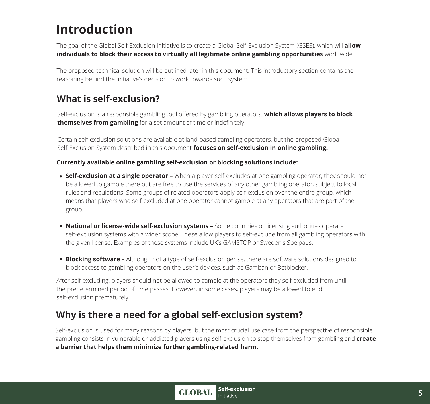# **Introduction**

The goal of the Global Self-Exclusion Initiative is to create a Global Self-Exclusion System (GSES), which will **allow individuals to block their access to virtually all legitimate online gambling opportunities** worldwide.

The proposed technical solution will be outlined later in this document. This introductory section contains the reasoning behind the Initiative's decision to work towards such system.

# **What is self-exclusion?**

Self-exclusion is a responsible gambling tool offered by gambling operators, **which allows players to block themselves from gambling** for a set amount of time or indefinitely.

Certain self-exclusion solutions are available at land-based gambling operators, but the proposed Global Self-Exclusion System described in this document **focuses on self-exclusion in online gambling.** 

#### **Currently available online gambling self-exclusion or blocking solutions include:**

- **Self-exclusion at a single operator –** When a player self-excludes at one gambling operator, they should not be allowed to gamble there but are free to use the services of any other gambling operator, subject to local rules and regulations. Some groups of related operators apply self-exclusion over the entire group, which means that players who self-excluded at one operator cannot gamble at any operators that are part of the group.
- **National or license-wide self-exclusion systems –** Some countries or licensing authorities operate self-exclusion systems with a wider scope. These allow players to self-exclude from all gambling operators with the given license. Examples of these systems include UK's GAMSTOP or Sweden's Spelpaus.
- **Blocking software –** Although not a type of self-exclusion per se, there are software solutions designed to block access to gambling operators on the user's devices, such as Gamban or Betblocker.

After self-excluding, players should not be allowed to gamble at the operators they self-excluded from until the predetermined period of time passes. However, in some cases, players may be allowed to end self-exclusion prematurely.

# **Why is there a need for a global self-exclusion system?**

Self-exclusion is used for many reasons by players, but the most crucial use case from the perspective of responsible gambling consists in vulnerable or addicted players using self-exclusion to stop themselves from gambling and **create a barrier that helps them minimize further gambling-related harm.**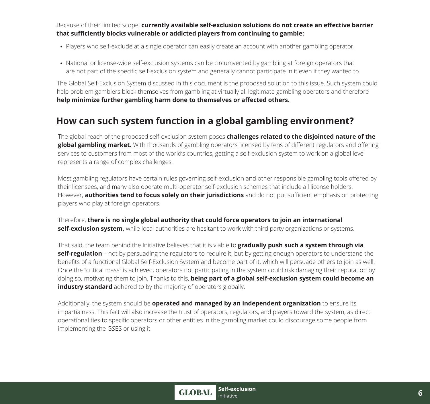Because of their limited scope, **currently available self-exclusion solutions do not create an effective barrier that sufficiently blocks vulnerable or addicted players from continuing to gamble:** 

- Players who self-exclude at a single operator can easily create an account with another gambling operator.
- National or license-wide self-exclusion systems can be circumvented by gambling at foreign operators that are not part of the specific self-exclusion system and generally cannot participate in it even if they wanted to.

The Global Self-Exclusion System discussed in this document is the proposed solution to this issue. Such system could help problem gamblers block themselves from gambling at virtually all legitimate gambling operators and therefore **help minimize further gambling harm done to themselves or affected others.** 

# **How can such system function in a global gambling environment?**

The global reach of the proposed self-exclusion system poses **challenges related to the disjointed nature of the global gambling market.** With thousands of gambling operators licensed by tens of different regulators and offering services to customers from most of the world's countries, getting a self-exclusion system to work on a global level represents a range of complex challenges.

Most gambling regulators have certain rules governing self-exclusion and other responsible gambling tools offered by their licensees, and many also operate multi-operator self-exclusion schemes that include all license holders. However, **authorities tend to focus solely on their jurisdictions** and do not put sufficient emphasis on protecting players who play at foreign operators.

Therefore, **there is no single global authority that could force operators to join an international self-exclusion system,** while local authorities are hesitant to work with third party organizations or systems.

That said, the team behind the Initiative believes that it is viable to **gradually push such a system through via self-regulation** – not by persuading the regulators to require it, but by getting enough operators to understand the benefits of a functional Global Self-Exclusion System and become part of it, which will persuade others to join as well. Once the "critical mass" is achieved, operators not participating in the system could risk damaging their reputation by doing so, motivating them to join. Thanks to this, **being part of a global self-exclusion system could become an industry standard** adhered to by the majority of operators globally.

Additionally, the system should be **operated and managed by an independent organization** to ensure its impartialness. This fact will also increase the trust of operators, regulators, and players toward the system, as direct operational ties to specific operators or other entities in the gambling market could discourage some people from implementing the GSES or using it.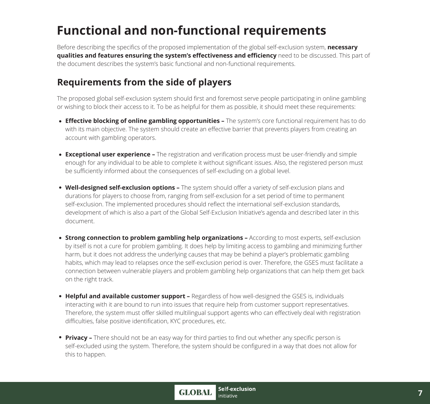# **Functional and non-functional requirements**

Before describing the specifics of the proposed implementation of the global self-exclusion system, **necessary qualities and features ensuring the system's effectiveness and efficiency** need to be discussed. This part of the document describes the system's basic functional and non-functional requirements.

# **Requirements from the side of players**

The proposed global self-exclusion system should first and foremost serve people participating in online gambling or wishing to block their access to it. To be as helpful for them as possible, it should meet these requirements:

- **Effective blocking of online gambling opportunities –** The system's core functional requirement has to do with its main objective. The system should create an effective barrier that prevents players from creating an account with gambling operators.
- **Exceptional user experience –** The registration and verification process must be user-friendly and simple enough for any individual to be able to complete it without significant issues. Also, the registered person must be sufficiently informed about the consequences of self-excluding on a global level.
- **Well-designed self-exclusion options –** The system should offer a variety of self-exclusion plans and durations for players to choose from, ranging from self-exclusion for a set period of time to permanent self-exclusion. The implemented procedures should reflect the international self-exclusion standards, development of which is also a part of the Global Self-Exclusion Initiative's agenda and described later in this document.
- **Strong connection to problem gambling help organizations –** According to most experts, self-exclusion by itself is not a cure for problem gambling. It does help by limiting access to gambling and minimizing further harm, but it does not address the underlying causes that may be behind a player's problematic gambling habits, which may lead to relapses once the self-exclusion period is over. Therefore, the GSES must facilitate a connection between vulnerable players and problem gambling help organizations that can help them get back on the right track.
- **Helpful and available customer support –** Regardless of how well-designed the GSES is, individuals interacting with it are bound to run into issues that require help from customer support representatives. Therefore, the system must offer skilled multilingual support agents who can effectively deal with registration difficulties, false positive identification, KYC procedures, etc.
- **Privacy –** There should not be an easy way for third parties to find out whether any specific person is self-excluded using the system. Therefore, the system should be configured in a way that does not allow for this to happen.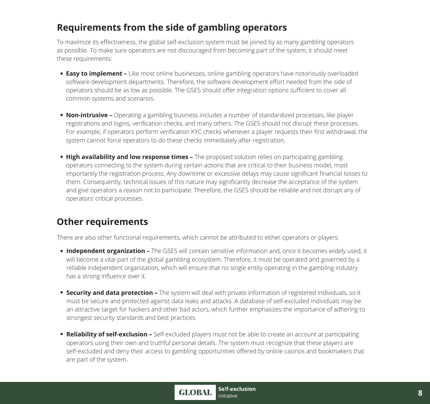# **Requirements from the side of gambling operators**

To maximize its effectiveness, the global self-exclusion system must be joined by as many gambling operators as possible. To make sure operators are not discouraged from becoming part of the system, it should meet these requirements:

- **Easy to implement –** Like most online businesses, online gambling operators have notoriously overloaded software development departments. Therefore, the software development effort needed from the side of operators should be as low as possible. The GSES should offer integration options sufficient to cover all common systems and scenarios.
- **Non-intrusive** Operating a gambling business includes a number of standardized processes, like player registrations and logins, verification checks, and many others. The GSES should not disrupt these processes. For example, if operators perform verification KYC checks whenever a player requests their first withdrawal, the system cannot force operators to do these checks immediately after registration.
- **High availability and low response times –** The proposed solution relies on participating gambling operators connecting to the system during certain actions that are critical to their business model, most importantly the registration process. Any downtime or excessive delays may cause significant financial losses to them. Consequently, technical issues of this nature may significantly decrease the acceptance of the system and give operators a reason not to participate. Therefore, the GSES should be reliable and not disrupt any of operators' critical processes.

# **Other requirements**

There are also other functional requirements, which cannot be attributed to either operators or players:

- **Independent organization –** The GSES will contain sensitive information and, once it becomes widely used, it will become a vital part of the global gambling ecosystem. Therefore, it must be operated and governed by a reliable independent organization, which will ensure that no single entity operating in the gambling industry has a strong influence over it.
- **Security and data protection –** The system will deal with private information of registered individuals, so it must be secure and protected against data leaks and attacks. A database of self-excluded individuals may be an attractive target for hackers and other bad actors, which further emphasizes the importance of adhering to strongest security standards and best practices.
- **Reliability of self-exclusion –** Self-excluded players must not be able to create an account at participating operators using their own and truthful personal details. The system must recognize that these players are self-excluded and deny their access to gambling opportunities offered by online casinos and bookmakers that are part of the system.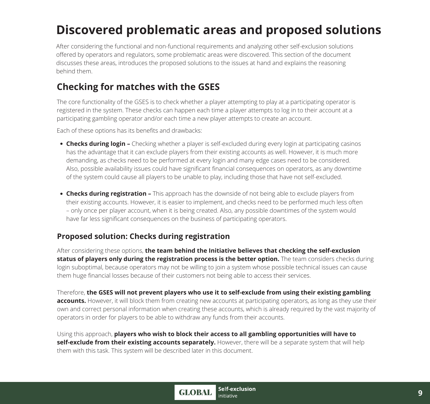# **Discovered problematic areas and proposed solutions**

After considering the functional and non-functional requirements and analyzing other self-exclusion solutions offered by operators and regulators, some problematic areas were discovered. This section of the document discusses these areas, introduces the proposed solutions to the issues at hand and explains the reasoning behind them.

# **Checking for matches with the GSES**

The core functionality of the GSES is to check whether a player attempting to play at a participating operator is registered in the system. These checks can happen each time a player attempts to log in to their account at a participating gambling operator and/or each time a new player attempts to create an account.

Each of these options has its benefits and drawbacks:

- **Checks during login –** Checking whether a player is self-excluded during every login at participating casinos has the advantage that it can exclude players from their existing accounts as well. However, it is much more demanding, as checks need to be performed at every login and many edge cases need to be considered. Also, possible availability issues could have significant financial consequences on operators, as any downtime of the system could cause all players to be unable to play, including those that have not self-excluded.
- **Checks during registration –** This approach has the downside of not being able to exclude players from their existing accounts. However, it is easier to implement, and checks need to be performed much less often – only once per player account, when it is being created. Also, any possible downtimes of the system would have far less significant consequences on the business of participating operators.

#### **Proposed solution: Checks during registration**

After considering these options, **the team behind the Initiative believes that checking the self-exclusion status of players only during the registration process is the better option.** The team considers checks during login suboptimal, because operators may not be willing to join a system whose possible technical issues can cause them huge financial losses because of their customers not being able to access their services.

Therefore, **the GSES will not prevent players who use it to self-exclude from using their existing gambling accounts.** However, it will block them from creating new accounts at participating operators, as long as they use their own and correct personal information when creating these accounts, which is already required by the vast majority of operators in order for players to be able to withdraw any funds from their accounts.

Using this approach, **players who wish to block their access to all gambling opportunities will have to self-exclude from their existing accounts separately.** However, there will be a separate system that will help them with this task. This system will be described later in this document.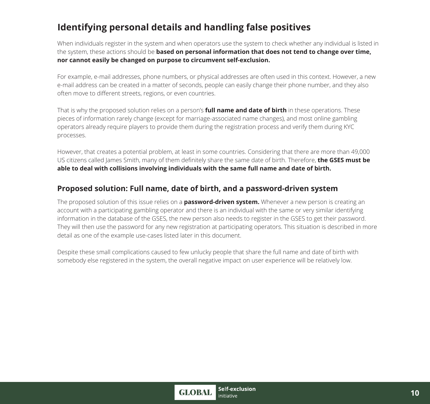# **Identifying personal details and handling false positives**

When individuals register in the system and when operators use the system to check whether any individual is listed in the system, these actions should be **based on personal information that does not tend to change over time, nor cannot easily be changed on purpose to circumvent self-exclusion.** 

For example, e-mail addresses, phone numbers, or physical addresses are often used in this context. However, a new e-mail address can be created in a matter of seconds, people can easily change their phone number, and they also often move to different streets, regions, or even countries.

That is why the proposed solution relies on a person's **full name and date of birth** in these operations. These pieces of information rarely change (except for marriage-associated name changes), and most online gambling operators already require players to provide them during the registration process and verify them during KYC processes.

However, that creates a potential problem, at least in some countries. Considering that there are more than 49,000 US citizens called James Smith, many of them definitely share the same date of birth. Therefore, **the GSES must be able to deal with collisions involving individuals with the same full name and date of birth.** 

#### **Proposed solution: Full name, date of birth, and a password-driven system**

The proposed solution of this issue relies on a **password-driven system.** Whenever a new person is creating an account with a participating gambling operator and there is an individual with the same or very similar identifying information in the database of the GSES, the new person also needs to register in the GSES to get their password. They will then use the password for any new registration at participating operators. This situation is described in more detail as one of the example use-cases listed later in this document.

Despite these small complications caused to few unlucky people that share the full name and date of birth with somebody else registered in the system, the overall negative impact on user experience will be relatively low.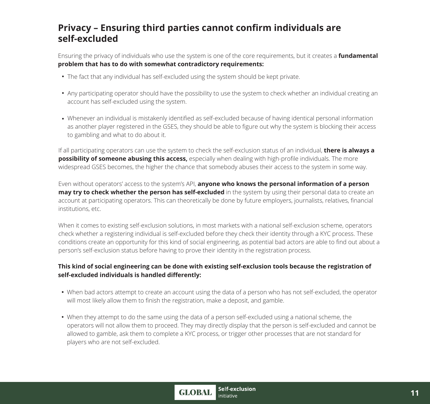### **Privacy – Ensuring third parties cannot confirm individuals are self-excluded**

Ensuring the privacy of individuals who use the system is one of the core requirements, but it creates a **fundamental problem that has to do with somewhat contradictory requirements:** 

- The fact that any individual has self-excluded using the system should be kept private.
- Any participating operator should have the possibility to use the system to check whether an individual creating an account has self-excluded using the system.
- Whenever an individual is mistakenly identified as self-excluded because of having identical personal information as another player registered in the GSES, they should be able to figure out why the system is blocking their access to gambling and what to do about it.

If all participating operators can use the system to check the self-exclusion status of an individual, **there is always a possibility of someone abusing this access,** especially when dealing with high-profile individuals. The more widespread GSES becomes, the higher the chance that somebody abuses their access to the system in some way.

Even without operators' access to the system's API, **anyone who knows the personal information of a person may try to check whether the person has self-excluded** in the system by using their personal data to create an account at participating operators. This can theoretically be done by future employers, journalists, relatives, financial institutions, etc.

When it comes to existing self-exclusion solutions, in most markets with a national self-exclusion scheme, operators check whether a registering individual is self-excluded before they check their identity through a KYC process. These conditions create an opportunity for this kind of social engineering, as potential bad actors are able to find out about a person's self-exclusion status before having to prove their identity in the registration process.

#### **This kind of social engineering can be done with existing self-exclusion tools because the registration of self-excluded individuals is handled differently:**

- When bad actors attempt to create an account using the data of a person who has not self-excluded, the operator will most likely allow them to finish the registration, make a deposit, and gamble.
- When they attempt to do the same using the data of a person self-excluded using a national scheme, the operators will not allow them to proceed. They may directly display that the person is self-excluded and cannot be allowed to gamble, ask them to complete a KYC process, or trigger other processes that are not standard for players who are not self-excluded.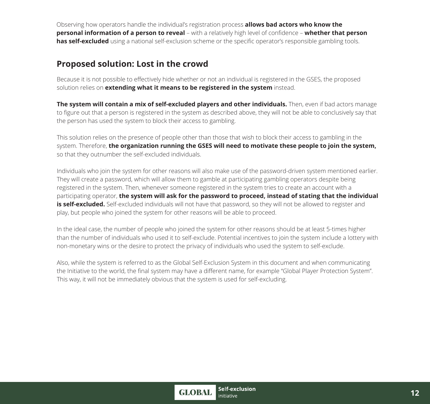Observing how operators handle the individual's registration process **allows bad actors who know the personal information of a person to reveal** – with a relatively high level of confidence – **whether that person has self-excluded** using a national self-exclusion scheme or the specific operator's responsible gambling tools.

### **Proposed solution: Lost in the crowd**

Because it is not possible to effectively hide whether or not an individual is registered in the GSES, the proposed solution relies on **extending what it means to be registered in the system** instead.

**The system will contain a mix of self-excluded players and other individuals.** Then, even if bad actors manage to figure out that a person is registered in the system as described above, they will not be able to conclusively say that the person has used the system to block their access to gambling.

This solution relies on the presence of people other than those that wish to block their access to gambling in the system. Therefore, **the organization running the GSES will need to motivate these people to join the system,** so that they outnumber the self-excluded individuals.

Individuals who join the system for other reasons will also make use of the password-driven system mentioned earlier. They will create a password, which will allow them to gamble at participating gambling operators despite being registered in the system. Then, whenever someone registered in the system tries to create an account with a participating operator, **the system will ask for the password to proceed, instead of stating that the individual is self-excluded.** Self-excluded individuals will not have that password, so they will not be allowed to register and play, but people who joined the system for other reasons will be able to proceed.

In the ideal case, the number of people who joined the system for other reasons should be at least 5-times higher than the number of individuals who used it to self-exclude. Potential incentives to join the system include a lottery with non-monetary wins or the desire to protect the privacy of individuals who used the system to self-exclude.

Also, while the system is referred to as the Global Self-Exclusion System in this document and when communicating the Initiative to the world, the final system may have a different name, for example "Global Player Protection System". This way, it will not be immediately obvious that the system is used for self-excluding.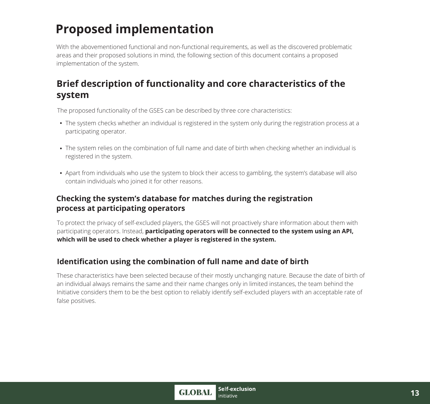# **Proposed implementation**

With the abovementioned functional and non-functional requirements, as well as the discovered problematic areas and their proposed solutions in mind, the following section of this document contains a proposed implementation of the system.

# **Brief description of functionality and core characteristics of the system**

The proposed functionality of the GSES can be described by three core characteristics:

- The system checks whether an individual is registered in the system only during the registration process at a participating operator.
- The system relies on the combination of full name and date of birth when checking whether an individual is registered in the system.
- Apart from individuals who use the system to block their access to gambling, the system's database will also contain individuals who joined it for other reasons.

#### **Checking the system's database for matches during the registration process at participating operators**

To protect the privacy of self-excluded players, the GSES will not proactively share information about them with participating operators. Instead, **participating operators will be connected to the system using an API, which will be used to check whether a player is registered in the system.** 

### **Identification using the combination of full name and date of birth**

These characteristics have been selected because of their mostly unchanging nature. Because the date of birth of an individual always remains the same and their name changes only in limited instances, the team behind the Initiative considers them to be the best option to reliably identify self-excluded players with an acceptable rate of false positives.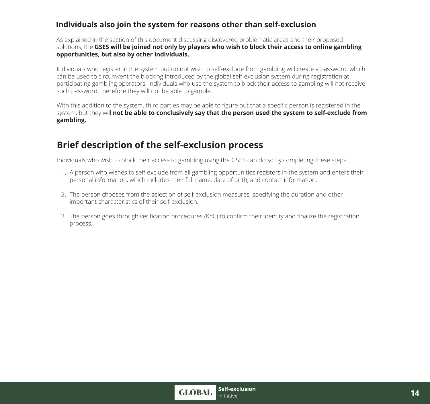#### **Individuals also join the system for reasons other than self-exclusion**

As explained in the section of this document discussing discovered problematic areas and their proposed solutions, the **GSES will be joined not only by players who wish to block their access to online gambling opportunities, but also by other individuals.** 

Individuals who register in the system but do not wish to self-exclude from gambling will create a password, which can be used to circumvent the blocking introduced by the global self-exclusion system during registration at participating gambling operators. Individuals who use the system to block their access to gambling will not receive such password, therefore they will not be able to gamble.

With this addition to the system, third parties may be able to figure out that a specific person is registered in the system, but they will **not be able to conclusively say that the person used the system to self-exclude from gambling.** 

# **Brief description of the self-exclusion process**

Individuals who wish to block their access to gambling using the GSES can do so by completing these steps:

- 1. A person who wishes to self-exclude from all gambling opportunities registers in the system and enters their personal information, which includes their full name, date of birth, and contact information.
- The person chooses from the selection of self-exclusion measures, specifying the duration and other 2. important characteristics of their self-exclusion.
- 3. The person goes through verification procedures (KYC) to confirm their identity and finalize the registration process.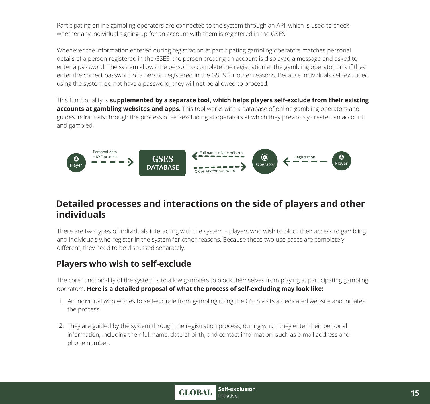Participating online gambling operators are connected to the system through an API, which is used to check whether any individual signing up for an account with them is registered in the GSES.

Whenever the information entered during registration at participating gambling operators matches personal details of a person registered in the GSES, the person creating an account is displayed a message and asked to enter a password. The system allows the person to complete the registration at the gambling operator only if they enter the correct password of a person registered in the GSES for other reasons. Because individuals self-excluded using the system do not have a password, they will not be allowed to proceed.

This functionality is **supplemented by a separate tool, which helps players self-exclude from their existing accounts at gambling websites and apps.** This tool works with a database of online gambling operators and guides individuals through the process of self-excluding at operators at which they previously created an account and gambled.



### **Detailed processes and interactions on the side of players and other individuals**

There are two types of individuals interacting with the system – players who wish to block their access to gambling and individuals who register in the system for other reasons. Because these two use-cases are completely different, they need to be discussed separately.

### **Players who wish to self-exclude**

The core functionality of the system is to allow gamblers to block themselves from playing at participating gambling operators. **Here is a detailed proposal of what the process of self-excluding may look like:** 

- An individual who wishes to self-exclude from gambling using the GSES visits a dedicated website and initiates 1. the process.
- 2. They are guided by the system through the registration process, during which they enter their personal information, including their full name, date of birth, and contact information, such as e-mail address and phone number.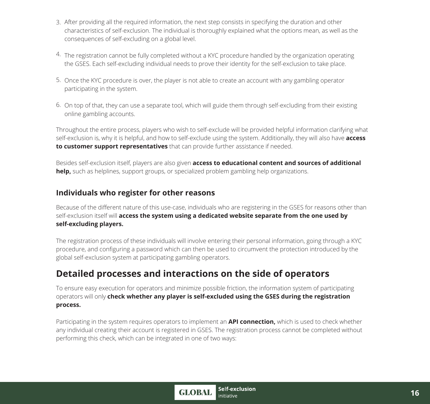- 3. After providing all the required information, the next step consists in specifying the duration and other characteristics of self-exclusion. The individual is thoroughly explained what the options mean, as well as the consequences of self-excluding on a global level.
- 4. The registration cannot be fully completed without a KYC procedure handled by the organization operating the GSES. Each self-excluding individual needs to prove their identity for the self-exclusion to take place.
- 5. Once the KYC procedure is over, the player is not able to create an account with any gambling operator participating in the system.
- 6. On top of that, they can use a separate tool, which will guide them through self-excluding from their existing online gambling accounts.

Throughout the entire process, players who wish to self-exclude will be provided helpful information clarifying what self-exclusion is, why it is helpful, and how to self-exclude using the system. Additionally, they will also have **access to customer support representatives** that can provide further assistance if needed.

Besides self-exclusion itself, players are also given **access to educational content and sources of additional help,** such as helplines, support groups, or specialized problem gambling help organizations.

#### **Individuals who register for other reasons**

Because of the different nature of this use-case, individuals who are registering in the GSES for reasons other than self-exclusion itself will **access the system using a dedicated website separate from the one used by self-excluding players.** 

The registration process of these individuals will involve entering their personal information, going through a KYC procedure, and configuring a password which can then be used to circumvent the protection introduced by the global self-exclusion system at participating gambling operators.

# **Detailed processes and interactions on the side of operators**

To ensure easy execution for operators and minimize possible friction, the information system of participating operators will only **check whether any player is self-excluded using the GSES during the registration process.** 

Participating in the system requires operators to implement an **API connection,** which is used to check whether any individual creating their account is registered in GSES. The registration process cannot be completed without performing this check, which can be integrated in one of two ways: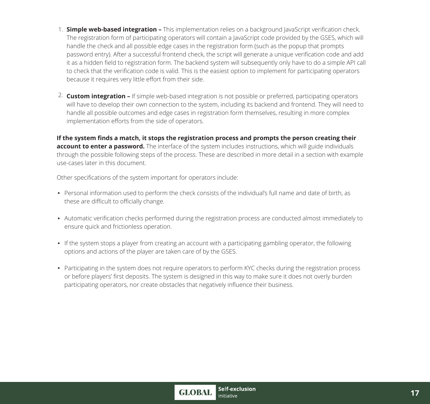- **Simple web-based integration –** This implementation relies on a background JavaScript verification check. 1. The registration form of participating operators will contain a JavaScript code provided by the GSES, which will handle the check and all possible edge cases in the registration form (such as the popup that prompts password entry). After a successful frontend check, the script will generate a unique verification code and add it as a hidden field to registration form. The backend system will subsequently only have to do a simple API call to check that the verification code is valid. This is the easiest option to implement for participating operators because it requires very little effort from their side.
- **Custom integration –** If simple web-based integration is not possible or preferred, participating operators 2. will have to develop their own connection to the system, including its backend and frontend. They will need to handle all possible outcomes and edge cases in registration form themselves, resulting in more complex implementation efforts from the side of operators.

**If the system finds a match, it stops the registration process and prompts the person creating their account to enter a password.** The interface of the system includes instructions, which will guide individuals through the possible following steps of the process. These are described in more detail in a section with example use-cases later in this document.

Other specifications of the system important for operators include:

- Personal information used to perform the check consists of the individual's full name and date of birth, as these are difficult to officially change.
- Automatic verification checks performed during the registration process are conducted almost immediately to ensure quick and frictionless operation.
- If the system stops a player from creating an account with a participating gambling operator, the following options and actions of the player are taken care of by the GSES.
- Participating in the system does not require operators to perform KYC checks during the registration process or before players' first deposits. The system is designed in this way to make sure it does not overly burden participating operators, nor create obstacles that negatively influence their business.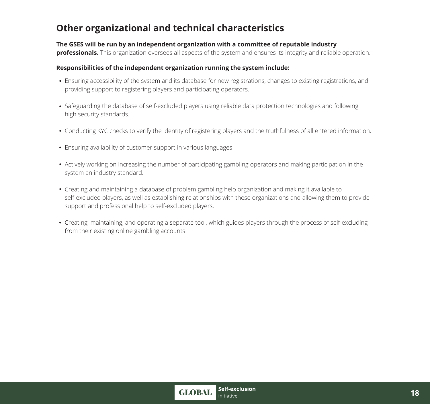# **Other organizational and technical characteristics**

#### **The GSES will be run by an independent organization with a committee of reputable industry**

**professionals.** This organization oversees all aspects of the system and ensures its integrity and reliable operation.

#### **Responsibilities of the independent organization running the system include:**

- Ensuring accessibility of the system and its database for new registrations, changes to existing registrations, and providing support to registering players and participating operators.
- Safeguarding the database of self-excluded players using reliable data protection technologies and following high security standards.
- Conducting KYC checks to verify the identity of registering players and the truthfulness of all entered information.
- Ensuring availability of customer support in various languages.
- Actively working on increasing the number of participating gambling operators and making participation in the system an industry standard.
- Creating and maintaining a database of problem gambling help organization and making it available to self-excluded players, as well as establishing relationships with these organizations and allowing them to provide support and professional help to self-excluded players.
- Creating, maintaining, and operating a separate tool, which guides players through the process of self-excluding from their existing online gambling accounts.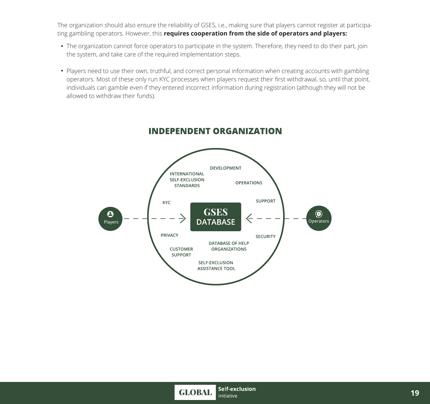The organization should also ensure the reliability of GSES, i.e., making sure that players cannot register at participating gambling operators. However, this **requires cooperation from the side of operators and players:** 

- The organization cannot force operators to participate in the system. Therefore, they need to do their part, join the system, and take care of the required implementation steps.
- Players need to use their own, truthful, and correct personal information when creating accounts with gambling operators. Most of these only run KYC processes when players request their first withdrawal, so, until that point, individuals can gamble even if they entered incorrect information during registration (although they will not be allowed to withdraw their funds).



#### **INDEPENDENT ORGANIZATION**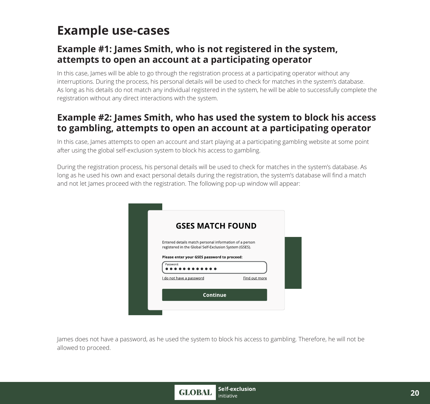# **Example use-cases**

# **Example #1: James Smith, who is not registered in the system, attempts to open an account at a participating operator**

In this case, James will be able to go through the registration process at a participating operator without any interruptions. During the process, his personal details will be used to check for matches in the system's database. As long as his details do not match any individual registered in the system, he will be able to successfully complete the registration without any direct interactions with the system.

# **Example #2: James Smith, who has used the system to block his access to gambling, attempts to open an account at a participating operator**

In this case, James attempts to open an account and start playing at a participating gambling website at some point after using the global self-exclusion system to block his access to gambling.

During the registration process, his personal details will be used to check for matches in the system's database. As long as he used his own and exact personal details during the registration, the system's database will find a match and not let James proceed with the registration. The following pop-up window will appear:

| <b>GSES MATCH FOUND</b>                                                                                          |               |
|------------------------------------------------------------------------------------------------------------------|---------------|
| Entered details match personal information of a person<br>registered in the Global Self-Exclusion System (GSES). |               |
| Please enter your GSES password to proceed:                                                                      |               |
| Password:                                                                                                        |               |
| I do not have a password                                                                                         | Find out more |
| Continue                                                                                                         |               |

James does not have a password, as he used the system to block his access to gambling. Therefore, he will not be allowed to proceed.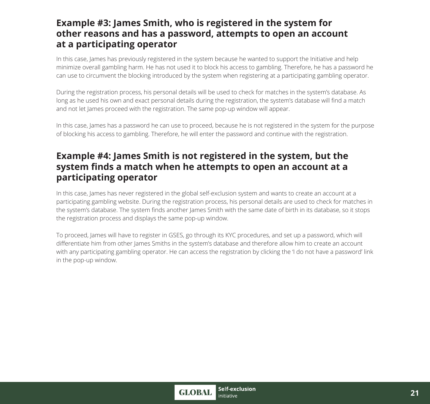### **Example #3: James Smith, who is registered in the system for other reasons and has a password, attempts to open an account at a participating operator**

In this case, James has previously registered in the system because he wanted to support the Initiative and help minimize overall gambling harm. He has not used it to block his access to gambling. Therefore, he has a password he can use to circumvent the blocking introduced by the system when registering at a participating gambling operator.

During the registration process, his personal details will be used to check for matches in the system's database. As long as he used his own and exact personal details during the registration, the system's database will find a match and not let James proceed with the registration. The same pop-up window will appear.

In this case, James has a password he can use to proceed, because he is not registered in the system for the purpose of blocking his access to gambling. Therefore, he will enter the password and continue with the registration.

## **Example #4: James Smith is not registered in the system, but the system finds a match when he attempts to open an account at a participating operator**

In this case, James has never registered in the global self-exclusion system and wants to create an account at a participating gambling website. During the registration process, his personal details are used to check for matches in the system's database. The system finds another James Smith with the same date of birth in its database, so it stops the registration process and displays the same pop-up window.

To proceed, James will have to register in GSES, go through its KYC procedures, and set up a password, which will differentiate him from other James Smiths in the system's database and therefore allow him to create an account with any participating gambling operator. He can access the registration by clicking the 'I do not have a password' link in the pop-up window.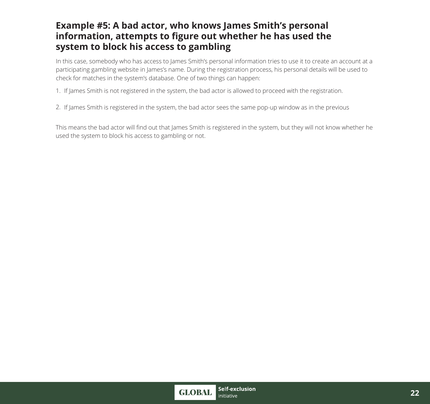## **Example #5: A bad actor, who knows James Smith's personal information, attempts to figure out whether he has used the system to block his access to gambling**

In this case, somebody who has access to James Smith's personal information tries to use it to create an account at a participating gambling website in James's name. During the registration process, his personal details will be used to check for matches in the system's database. One of two things can happen:

- 1. If James Smith is not registered in the system, the bad actor is allowed to proceed with the registration.
- 2. If James Smith is registered in the system, the bad actor sees the same pop-up window as in the previous

This means the bad actor will find out that James Smith is registered in the system, but they will not know whether he used the system to block his access to gambling or not.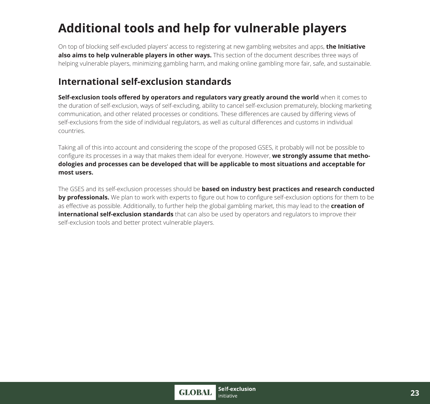# **Additional tools and help for vulnerable players**

On top of blocking self-excluded players' access to registering at new gambling websites and apps, **the Initiative also aims to help vulnerable players in other ways.** This section of the document describes three ways of helping vulnerable players, minimizing gambling harm, and making online gambling more fair, safe, and sustainable.

# **International self-exclusion standards**

**Self-exclusion tools offered by operators and regulators vary greatly around the world** when it comes to the duration of self-exclusion, ways of self-excluding, ability to cancel self-exclusion prematurely, blocking marketing communication, and other related processes or conditions. These differences are caused by differing views of self-exclusions from the side of individual regulators, as well as cultural differences and customs in individual countries.

Taking all of this into account and considering the scope of the proposed GSES, it probably will not be possible to configure its processes in a way that makes them ideal for everyone. However, **we strongly assume that methodologies and processes can be developed that will be applicable to most situations and acceptable for most users.** 

The GSES and its self-exclusion processes should be **based on industry best practices and research conducted by professionals.** We plan to work with experts to figure out how to configure self-exclusion options for them to be as effective as possible. Additionally, to further help the global gambling market, this may lead to the **creation of international self-exclusion standards** that can also be used by operators and regulators to improve their self-exclusion tools and better protect vulnerable players.